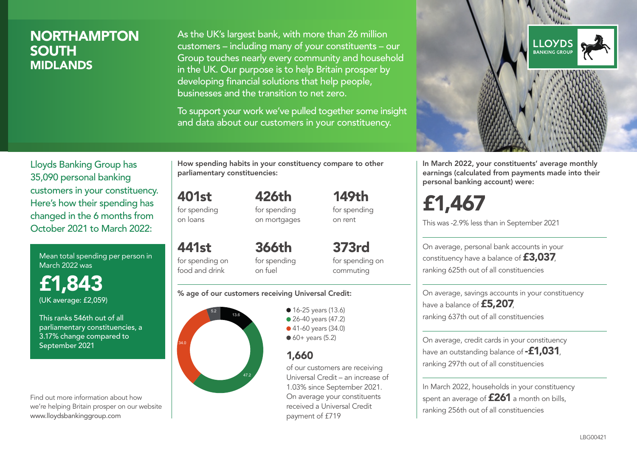# NORTHAMPTON SOUTH MIDLANDS

As the UK's largest bank, with more than 26 million customers – including many of your constituents – our Group touches nearly every community and household in the UK. Our purpose is to help Britain prosper by developing financial solutions that help people, businesses and the transition to net zero.

To support your work we've pulled together some insight and data about our customers in your constituency.



Mean total spending per person in March 2022 was

£1,843 (UK average: £2,059)

This ranks 546th out of all parliamentary constituencies, a 3.17% change compared to September 2021

Find out more information about how we're helping Britain prosper on our website www.lloydsbankinggroup.com

How spending habits in your constituency compare to other parliamentary constituencies:

426th

401st for spending on loans

for spending on mortgages

441st for spending on food and drink 366th for spending on fuel

373rd for spending on commuting

149th for spending on rent

#### % age of our customers receiving Universal Credit:



• 16-25 years (13.6) ● 26-40 years (47.2) ● 41-60 years (34.0)  $60+$  years (5.2)

# 1,660

of our customers are receiving Universal Credit – an increase of 1.03% since September 2021. On average your constituents received a Universal Credit payment of £719



In March 2022, your constituents' average monthly earnings (calculated from payments made into their personal banking account) were:

# £1,467

This was -2.9% less than in September 2021

On average, personal bank accounts in your constituency have a balance of £3,037, ranking 625th out of all constituencies

On average, savings accounts in your constituency have a balance of £5,207, ranking 637th out of all constituencies

On average, credit cards in your constituency have an outstanding balance of **-£1,031**, ranking 297th out of all constituencies

In March 2022, households in your constituency spent an average of **£261** a month on bills, ranking 256th out of all constituencies